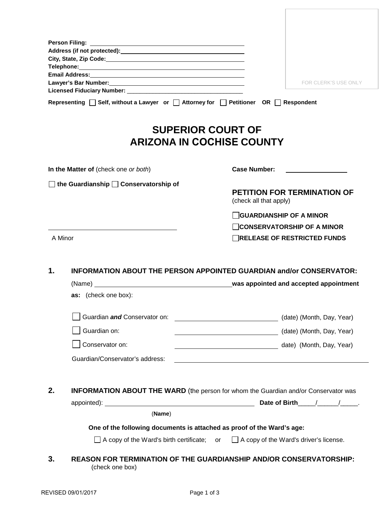|         | Address (if not protected): Manual Address (if not protected):                                                                                                                                                                                                                                          |                                                                                                 |
|---------|---------------------------------------------------------------------------------------------------------------------------------------------------------------------------------------------------------------------------------------------------------------------------------------------------------|-------------------------------------------------------------------------------------------------|
|         | City, State, Zip Code: Manual Communication of City, State, Zip Code:<br>Telephone: Network and the second state of the second state of the second state of the second state of the second state of the second state of the second state of the second state of the second state of the second state of |                                                                                                 |
|         |                                                                                                                                                                                                                                                                                                         |                                                                                                 |
|         |                                                                                                                                                                                                                                                                                                         | FOR CLERK'S USE ONLY                                                                            |
|         |                                                                                                                                                                                                                                                                                                         |                                                                                                 |
|         | Representing □ Self, without a Lawyer or □ Attorney for □ Petitioner OR □ Respondent                                                                                                                                                                                                                    |                                                                                                 |
|         |                                                                                                                                                                                                                                                                                                         | <b>SUPERIOR COURT OF</b><br><b>ARIZONA IN COCHISE COUNTY</b>                                    |
|         | In the Matter of (check one or both)                                                                                                                                                                                                                                                                    | <b>Case Number:</b>                                                                             |
|         | the Guardianship Conservatorship of                                                                                                                                                                                                                                                                     |                                                                                                 |
|         |                                                                                                                                                                                                                                                                                                         | <b>PETITION FOR TERMINATION OF</b><br>(check all that apply)                                    |
|         |                                                                                                                                                                                                                                                                                                         | <b>GUARDIANSHIP OF A MINOR</b>                                                                  |
|         |                                                                                                                                                                                                                                                                                                         | <b>CONSERVATORSHIP OF A MINOR</b>                                                               |
| A Minor |                                                                                                                                                                                                                                                                                                         | RELEASE OF RESTRICTED FUNDS                                                                     |
| 1.      |                                                                                                                                                                                                                                                                                                         | <b>INFORMATION ABOUT THE PERSON APPOINTED GUARDIAN and/or CONSERVATOR:</b>                      |
|         |                                                                                                                                                                                                                                                                                                         | was appointed and accepted appointment                                                          |
|         | as: (check one box):                                                                                                                                                                                                                                                                                    |                                                                                                 |
|         | Guardian and Conservator on:                                                                                                                                                                                                                                                                            | (date) (Month, Day, Year)                                                                       |
|         | Guardian on:                                                                                                                                                                                                                                                                                            | (date) (Month, Day, Year)                                                                       |
|         | Conservator on:                                                                                                                                                                                                                                                                                         | date) (Month, Day, Year)                                                                        |
|         | Guardian/Conservator's address:                                                                                                                                                                                                                                                                         |                                                                                                 |
|         |                                                                                                                                                                                                                                                                                                         |                                                                                                 |
| 2.      |                                                                                                                                                                                                                                                                                                         | <b>INFORMATION ABOUT THE WARD</b> (the person for whom the Guardian and/or Conservator was      |
|         |                                                                                                                                                                                                                                                                                                         |                                                                                                 |
|         | (Name)                                                                                                                                                                                                                                                                                                  |                                                                                                 |
|         | One of the following documents is attached as proof of the Ward's age:                                                                                                                                                                                                                                  |                                                                                                 |
|         |                                                                                                                                                                                                                                                                                                         | $\Box$ A copy of the Ward's birth certificate; or $\Box$ A copy of the Ward's driver's license. |
| 3.      | (check one box)                                                                                                                                                                                                                                                                                         | REASON FOR TERMINATION OF THE GUARDIANSHIP AND/OR CONSERVATORSHIP:                              |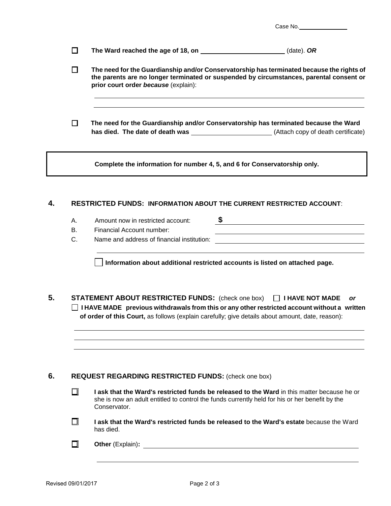| Case No. |  |
|----------|--|
|          |  |

| The Ward reached the age of 18, on | (date). $OR$ |
|------------------------------------|--------------|
|------------------------------------|--------------|

- $\Box$ **The need for the Guardianship and/or Conservatorship has terminated because the rights of the parents are no longer terminated or suspended by circumstances, parental consent or prior court order** *because* (explain):
- **The need for the Guardianship and/or Conservatorship has terminated because the Ward has died. The date of death was** (Attach copy of death certificate)

**Complete the information for number 4, 5, and 6 for Conservatorship only.**

## **4. RESTRICTED FUNDS: INFORMATION ABOUT THE CURRENT RESTRICTED ACCOUNT**:

- A. Amount now in restricted account: **\$**
- B. Financial Account number:
- C. Name and address of financial institution:

**Information about additional restricted accounts is listed on attached page.**

**5. STATEMENT ABOUT RESTRICTED FUNDS:** (check one box) **I HAVE NOT MADE** *or* **I HAVE MADE previous withdrawals from this or any other restricted account without a written of order of this Court,** as follows (explain carefully; give details about amount, date, reason):

## **6. REQUEST REGARDING RESTRICTED FUNDS:** (check one box)

- □ **I ask that the Ward's restricted funds be released to the Ward** in this matter because he or she is now an adult entitled to control the funds currently held for his or her benefit by the Conservator.
- $\Box$ **I ask that the Ward's restricted funds be released to the Ward's estate** because the Ward has died.
- $\Box$ **Other** (Explain)**:**